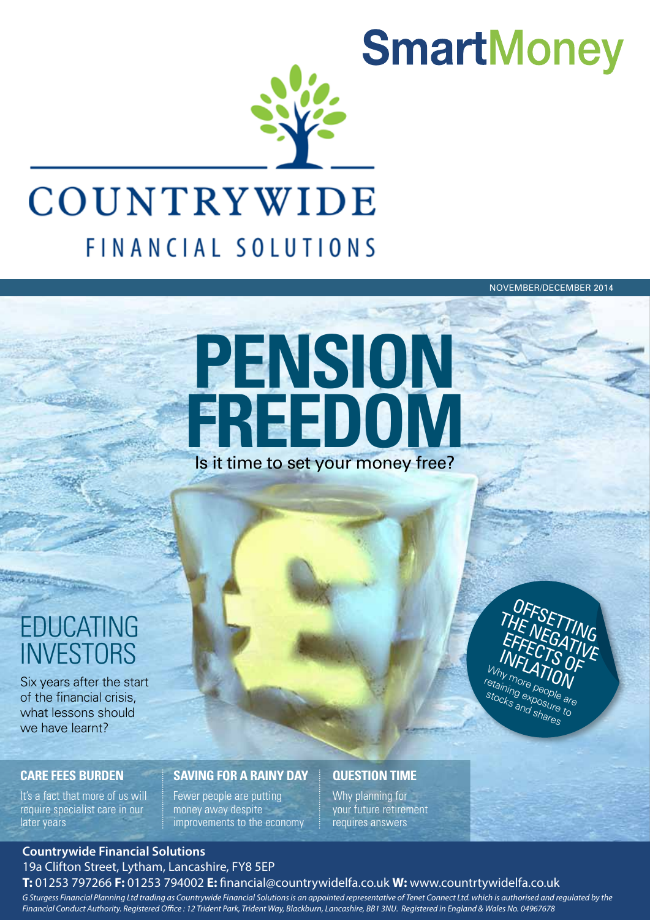

## COUNTRYWIDE FINANCIAL SOLUTIONS

NOVEMBER/DECEMBER 2014

# Is it time to set your money free? **PENSION FREEDOM**

## EDUCATING **INVESTORS**

or ennis

Six years after the start of the financial crisis, what lessons should we have learnt?

#### **CARE FEES BURDEN**

It's a fact that more of us will require specialist care in our later years

### **SAVING FOR A RAINY DAY**

Fewer people are putting money away despite improvements to the economy

### **QUESTION TIME**

Why planning for your future retirement requires answers

#### **Countrywide Financial Solutions** 19a Clifton Street, Lytham, Lancashire, FY8 5EP

#### **T:** 01253 797266 **F:** 01253 794002 **E:** nancial@countrywidelfa.co.uk **W:** www.countrtywidelfa.co.uk

*G Sturgess Financial Planning Ltd trading as Countrywide Financial Solutions is an appointed representative of Tenet Connect Ltd. which is authorised and regulated by the* Financial Conduct Authority. Registered Office : 12 Trident Park, Trident Way, Blackburn, Lancashire, BB1 3NU. Registered in England & Wales No. 04967678

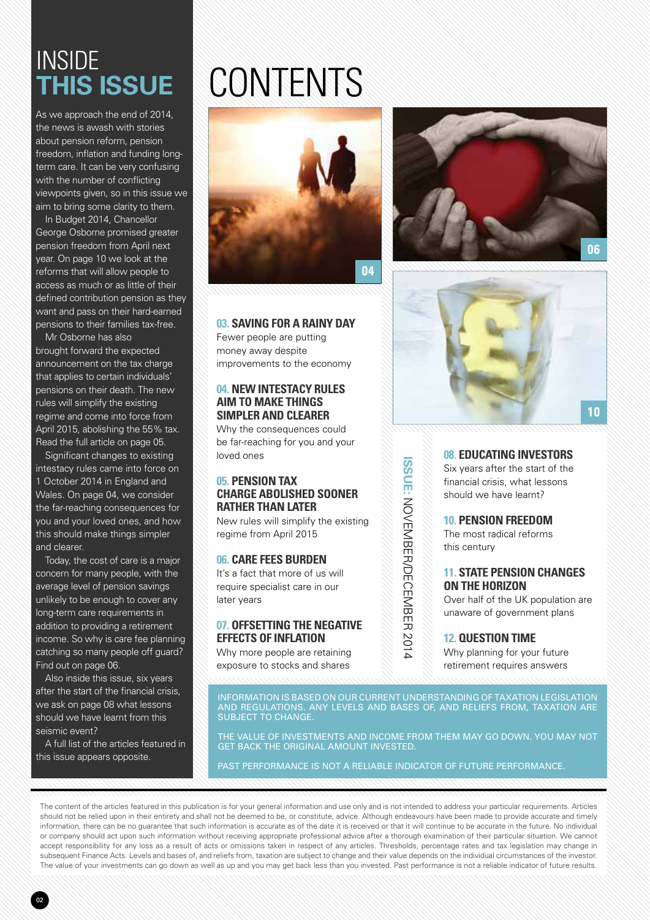## **INSIDE this issue**

As we approach the end of 2014, the news is awash with stories about pension reform, pension freedom, inflation and funding longterm care. It can be very confusing with the number of conflicting viewpoints given, so in this issue we aim to bring some clarity to them.

In Budget 2014, Chancellor George Osborne promised greater pension freedom from April next year. On page 10 we look at the reforms that will allow people to access as much or as little of their defined contribution pension as they want and pass on their hard-earned pensions to their families tax-free.

Mr Osborne has also brought forward the expected announcement on the tax charge that applies to certain individuals' pensions on their death. The new rules will simplify the existing regime and come into force from April 2015, abolishing the 55% tax. Read the full article on page 05.

Significant changes to existing intestacy rules came into force on 1 October 2014 in England and Wales. On page 04, we consider the far-reaching consequences for you and your loved ones, and how this should make things simpler and clearer.

Today, the cost of care is a major concern for many people, with the average level of pension savings unlikely to be enough to cover any long-term care requirements in addition to providing a retirement income. So why is care fee planning catching so many people off guard? Find out on page 06.

Also inside this issue, six years after the start of the financial crisis, we ask on page 08 what lessons should we have learnt from this seismic event?

A full list of the articles featured in this issue appears opposite.

# CONTENTS



**03. Saving for a rainy day** Fewer people are putting money away despite improvements to the economy

#### **04. New intestacy rules aim to make things simpler and clearer**

Why the consequences could be far-reaching for you and your loved ones

#### **05. Pension tax charge abolished sooner rather than later**

New rules will simplify the existing regime from April 2015

#### **06. Care fees burden**

It's a fact that more of us will require specialist care in our later years

#### **07. Offsetting the negative effects of inflation**

Why more people are retaining exposure to stocks and shares





#### **08. Educating investors**  Six years after the start of the

financial crisis, what lessons should we have learnt?

#### **10. Pension freedom**

The most radical reforms this century

#### **11. State Pension changes on the horizon**

Over half of the UK population are unaware of government plans

**12. Question time** Why planning for your future retirement requires answers

INFORMATION IS BASED ON OUR CURRENT UNDERSTANDING OF TAXATION LEGISLATION AND REGULATIONS. ANY LEVELS AND BASES OF, AND RELIEFS FROM, TAXATION ARE SUBJECT TO CHANGE.

THE VALUE OF INVESTMENTS AND INCOME FROM THEM MAY GO DOWN. YOU MAY NOT GET BACK THE ORIGINAL AMOUNT INVESTED.

PAST PERFORMANCE IS NOT A RELIABLE INDICATOR OF FUTURE PERFORMANCE.

The content of the articles featured in this publication is for your general information and use only and is not intended to address your particular requirements. Articles should not be relied upon in their entirety and shall not be deemed to be, or constitute, advice. Although endeavours have been made to provide accurate and timely information, there can be no guarantee that such information is accurate as of the date it is received or that it will continue to be accurate in the future. No individual or company should act upon such information without receiving appropriate professional advice after a thorough examination of their particular situation. We cannot accept responsibility for any loss as a result of acts or omissions taken in respect of any articles. Thresholds, percentage rates and tax legislation may change in subsequent Finance Acts. Levels and bases of, and reliefs from, taxation are subject to change and their value depends on the individual circumstances of the investor. The value of your investments can go down as well as up and you may get back less than you invested. Past performance is not a reliable indicator of future results.

**ISSUE:** NOVENDECCENT SOLO NOVEMBER/DECEMBER 2014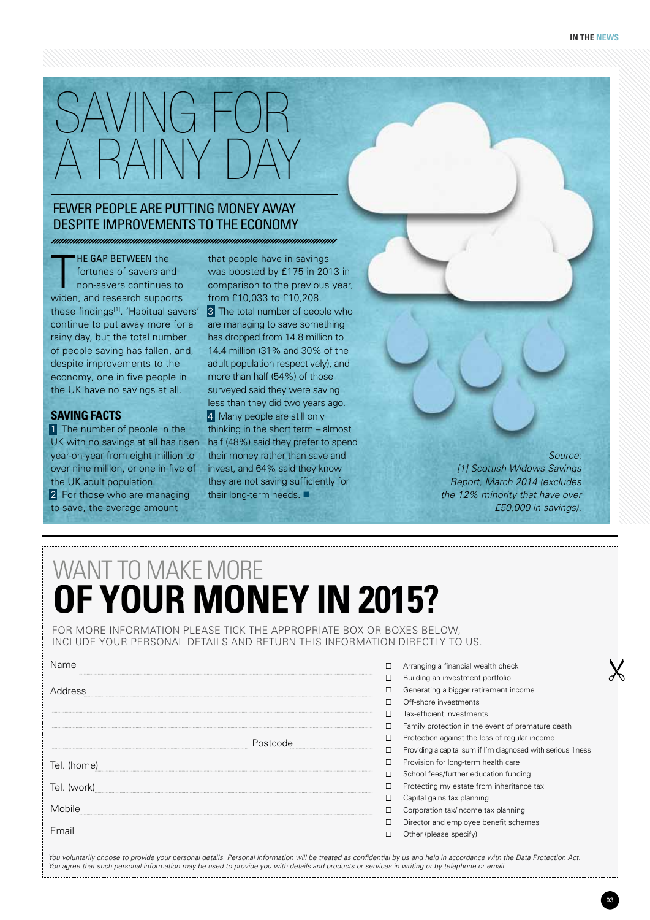

#### Fewer people are putting money away despite improvements to the economy

T **HE GAP BETWEEN the** fortunes of savers and non-savers continues to widen, and research supports these findings<sup>[1]</sup>. 'Habitual savers' continue to put away more for a rainy day, but the total number of people saving has fallen, and, despite improvements to the economy, one in five people in the UK have no savings at all.

#### **Saving facts**

1 The number of people in the UK with no savings at all has risen year-on-year from eight million to over nine million, or one in five of the UK adult population.

2 For those who are managing to save, the average amount

that people have in savings was boosted by £175 in 2013 in comparison to the previous year, from £10,033 to £10,208. 3 The total number of people who are managing to save something has dropped from 14.8 million to 14.4 million (31% and 30% of the adult population respectively), and more than half (54%) of those surveyed said they were saving less than they did two years ago. 4 Many people are still only thinking in the short term – almost half (48%) said they prefer to spend their money rather than save and invest, and 64% said they know they are not saving sufficiently for their long-term needs.  $\blacksquare$ 

*Source: [1] Scottish Widows Savings Report, March 2014 (excludes the 12% minority that have over £50,000 in savings).*

## want to make more **of your money IN 2015?**

For more information please tick the appropriate box or boxes below, include your personal details and return this information directly to us.

| Name        |          | Arranging a financial wealth check                            |
|-------------|----------|---------------------------------------------------------------|
|             |          | Building an investment portfolio                              |
| Address     |          | Generating a bigger retirement income                         |
|             |          | Off-shore investments                                         |
|             | Postcode | Tax-efficient investments                                     |
|             |          | Family protection in the event of premature death             |
|             |          | Protection against the loss of regular income                 |
|             |          | Providing a capital sum if I'm diagnosed with serious illness |
| Tel. (home) |          | Provision for long-term health care                           |
|             |          | School fees/further education funding                         |
| Tel. (work) |          | Protecting my estate from inheritance tax                     |
|             |          | Capital gains tax planning                                    |
| Mobile      |          | Corporation tax/income tax planning                           |
|             |          | Director and employee benefit schemes                         |
| Email       |          | Other (please specify)                                        |

*You voluntarily choose to provide your personal details. Personal information will be treated as confidential by us and held in accordance with the Data Protection Act. You agree that such personal information may be used to provide you with details and products or services in writing or by telephone or email.*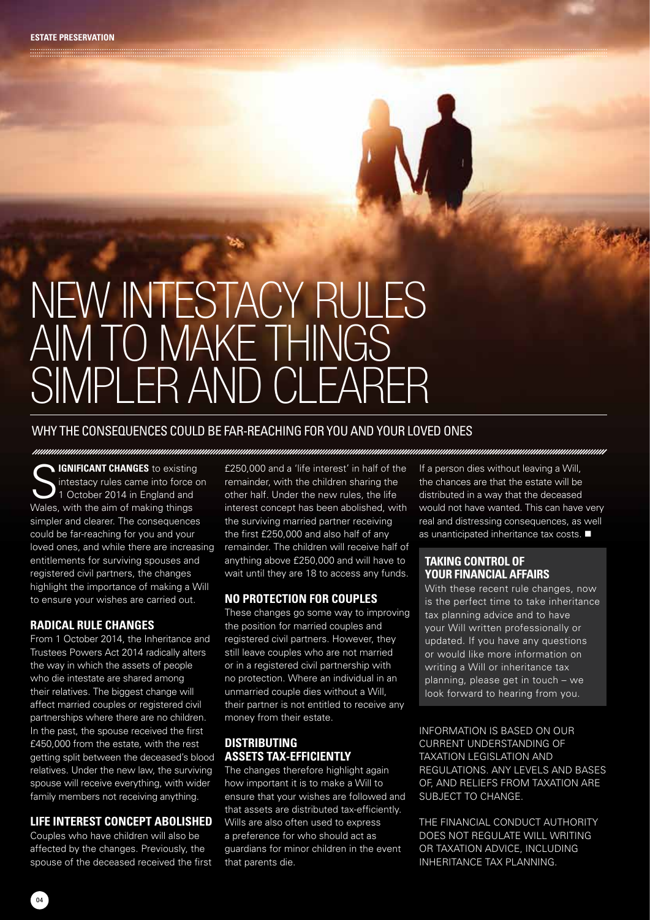# New intestacy rules AIM TO MAKE THINGS SIMPLER AND CLEARER

#### Why the consequences could be far-reaching for you and your loved ones

**S** IGNIFICANT CHANGES to existing intestacy rules came into force on 1 October 2014 in England and Wales, with the aim of making things simpler and clearer. The consequences could be far-reaching for you and your loved ones, and while there are increasing entitlements for surviving spouses and registered civil partners, the changes highlight the importance of making a Will to ensure your wishes are carried out.

#### **Radical rule changes**

From 1 October 2014, the Inheritance and Trustees Powers Act 2014 radically alters the way in which the assets of people who die intestate are shared among their relatives. The biggest change will affect married couples or registered civil partnerships where there are no children. In the past, the spouse received the first £450,000 from the estate, with the rest getting split between the deceased's blood relatives. Under the new law, the surviving spouse will receive everything, with wider family members not receiving anything.

#### **Life interest concept abolished**

Couples who have children will also be affected by the changes. Previously, the spouse of the deceased received the first

£250,000 and a 'life interest' in half of the remainder, with the children sharing the other half. Under the new rules, the life interest concept has been abolished, with the surviving married partner receiving the first £250,000 and also half of any remainder. The children will receive half of anything above £250,000 and will have to wait until they are 18 to access any funds.

#### **No protection for couples**

These changes go some way to improving the position for married couples and registered civil partners. However, they still leave couples who are not married or in a registered civil partnership with no protection. Where an individual in an unmarried couple dies without a Will, their partner is not entitled to receive any money from their estate.

#### **Distributing assets tax-efficiently**

The changes therefore highlight again how important it is to make a Will to ensure that your wishes are followed and that assets are distributed tax-efficiently. Wills are also often used to express a preference for who should act as guardians for minor children in the event that parents die.

If a person dies without leaving a Will, the chances are that the estate will be distributed in a way that the deceased would not have wanted. This can have very real and distressing consequences, as well as unanticipated inheritance tax costs.  $\blacksquare$ 

#### **Taking control of your financial affairs**

With these recent rule changes, now is the perfect time to take inheritance tax planning advice and to have your Will written professionally or updated. If you have any questions or would like more information on writing a Will or inheritance tax planning, please get in touch – we look forward to hearing from you.

INFORMATION IS BASED ON OUR CURRENT UNDERSTANDING OF TAXATION LEGISLATION AND REGULATIONS. ANY LEVELS AND BASES OF, AND RELIEFS FROM TAXATION ARE SUBJECT TO CHANGE.

THE FINANCIAL CONDUCT AUTHORITY DOES NOT REGULATE WILL WRITING OR TAXATION ADVICE, INCLUDING INHERITANCE TAX PLANNING.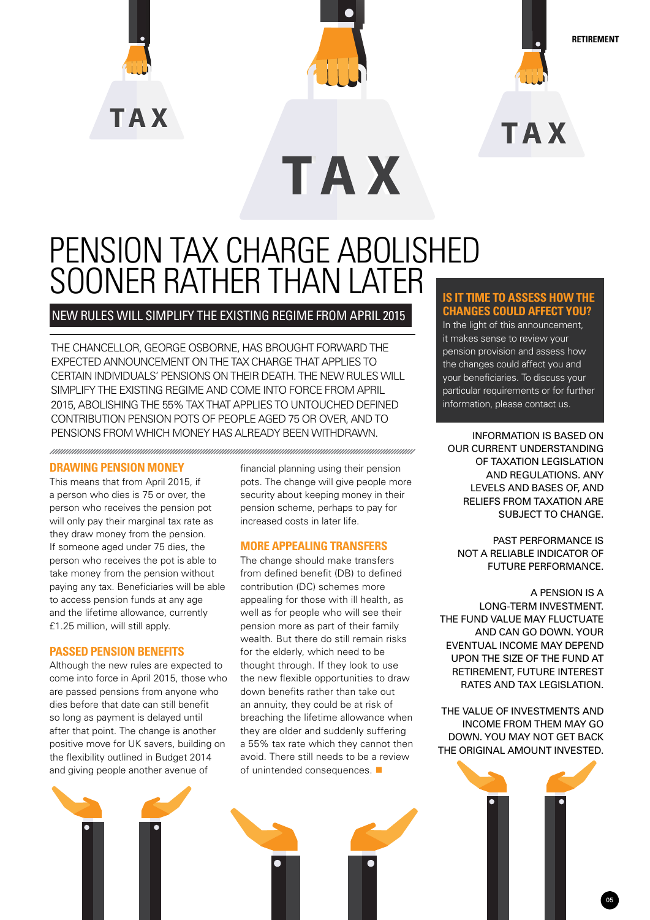



**TAX** 

**Retirement**

**TAX** 

## Pension tax charge abolished sooner rather than later

#### New rules will simplify the existing regime from April 2015

The Chancellor, George Osborne, has brought forward the expected announcement on the tax charge that applies to certain individuals' pensions on their death. The new rules will simplify the existing regime and come into force from April 2015, abolishing the 55% tax that applies to untouched defined contribution pension pots of people aged 75 or over, and to PENSIONS FROM WHICH MONEY HAS ALREADY BEEN WITHDRAWN. **INFORMATION IS BASED ON** 

#### **Drawing pension money**

This means that from April 2015, if a person who dies is 75 or over, the person who receives the pension pot will only pay their marginal tax rate as they draw money from the pension. If someone aged under 75 dies, the person who receives the pot is able to take money from the pension without paying any tax. Beneficiaries will be able to access pension funds at any age and the lifetime allowance, currently £1.25 million, will still apply.

#### **Passed pension benefits**

Although the new rules are expected to come into force in April 2015, those who are passed pensions from anyone who dies before that date can still benefit so long as payment is delayed until after that point. The change is another positive move for UK savers, building on the flexibility outlined in Budget 2014 and giving people another avenue of

financial planning using their pension pots. The change will give people more security about keeping money in their pension scheme, perhaps to pay for increased costs in later life.

#### **More appealing transfers**

The change should make transfers from defined benefit (DB) to defined contribution (DC) schemes more appealing for those with ill health, as well as for people who will see their pension more as part of their family wealth. But there do still remain risks for the elderly, which need to be thought through. If they look to use the new flexible opportunities to draw down benefits rather than take out an annuity, they could be at risk of breaching the lifetime allowance when they are older and suddenly suffering a 55% tax rate which they cannot then avoid. There still needs to be a review of unintended consequences.  $\blacksquare$ 

#### **Is it time to assess how the changes could affect you?**

In the light of this announcement, it makes sense to review your pension provision and assess how the changes could affect you and your beneficiaries. To discuss your particular requirements or for further information, please contact us.

OUR CURRENT UNDERSTANDING OF TAXATION LEGISLATION AND REGULATIONS. ANY LEVELS AND BASES OF, AND RELIEFS FROM TAXATION ARE SUBJECT TO CHANGE.

PAST PERFORMANCE IS NOT A RELIABLE INDICATOR OF FUTURE PERFORMANCE.

A PENSION IS A LONG-TERM INVESTMENT. THE FUND VALUE MAY FLUCTUATE AND CAN GO DOWN. YOUR EVENTUAL INCOME MAY DEPEND UPON THE SIZE OF THE FUND AT RETIREMENT, FUTURE INTEREST RATES AND TAX LEGISLATION.

THE VALUE OF INVESTMENTS AND INCOME FROM THEM MAY GO DOWN. YOU MAY NOT GET BACK THE ORIGINAL AMOUNT INVESTED.

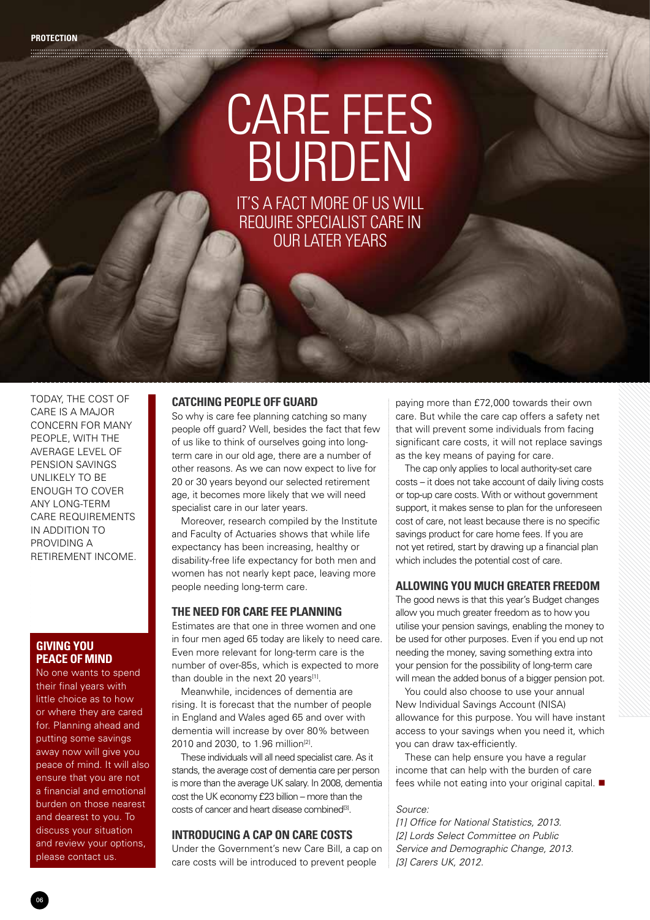## Care fees BURDEN It's a fact more of us will

require specialist care in our later years

Today, the cost of care is a major concern for many people, with the average level of pension savings unlikely to be enough to cover any long-term care requirements in addition to providing a retirement income.

#### **Giving you peace of mind**

No one wants to spend their final years with little choice as to how or where they are cared for. Planning ahead and putting some savings away now will give you peace of mind. It will also ensure that you are not a financial and emotional burden on those nearest and dearest to you. To discuss your situation and review your options, please contact us.

#### **Catching people off guard**

So why is care fee planning catching so many people off guard? Well, besides the fact that few of us like to think of ourselves going into longterm care in our old age, there are a number of other reasons. As we can now expect to live for 20 or 30 years beyond our selected retirement age, it becomes more likely that we will need specialist care in our later years.

Moreover, research compiled by the Institute and Faculty of Actuaries shows that while life expectancy has been increasing, healthy or disability-free life expectancy for both men and women has not nearly kept pace, leaving more people needing long-term care.

#### **The need for care fee planning**

Estimates are that one in three women and one in four men aged 65 today are likely to need care. Even more relevant for long-term care is the number of over-85s, which is expected to more than double in the next 20 years<sup>[1]</sup>.

Meanwhile, incidences of dementia are rising. It is forecast that the number of people in England and Wales aged 65 and over with dementia will increase by over 80% between 2010 and 2030, to 1.96 million<sup>[2]</sup>.

These individuals will all need specialist care. As it stands, the average cost of dementia care per person is more than the average UK salary. In 2008, dementia cost the UK economy £23 billion – more than the costs of cancer and heart disease combined<sup>[3]</sup>.

#### **Introducing a cap on care costs**

Under the Government's new Care Bill, a cap on care costs will be introduced to prevent people

paying more than £72,000 towards their own care. But while the care cap offers a safety net that will prevent some individuals from facing significant care costs, it will not replace savings as the key means of paying for care.

The cap only applies to local authority-set care costs – it does not take account of daily living costs or top-up care costs. With or without government support, it makes sense to plan for the unforeseen cost of care, not least because there is no specific savings product for care home fees. If you are not yet retired, start by drawing up a financial plan which includes the potential cost of care.

#### **Allowing you much greater freedom**

The good news is that this year's Budget changes allow you much greater freedom as to how you utilise your pension savings, enabling the money to be used for other purposes. Even if you end up not needing the money, saving something extra into your pension for the possibility of long-term care will mean the added bonus of a bigger pension pot.

You could also choose to use your annual New Individual Savings Account (NISA) allowance for this purpose. You will have instant access to your savings when you need it, which you can draw tax-efficiently.

These can help ensure you have a regular income that can help with the burden of care fees while not eating into your original capital.  $\blacksquare$ 

#### *Source:*

*[1] Office for National Statistics, 2013. [2] Lords Select Committee on Public Service and Demographic Change, 2013. [3] Carers UK, 2012.*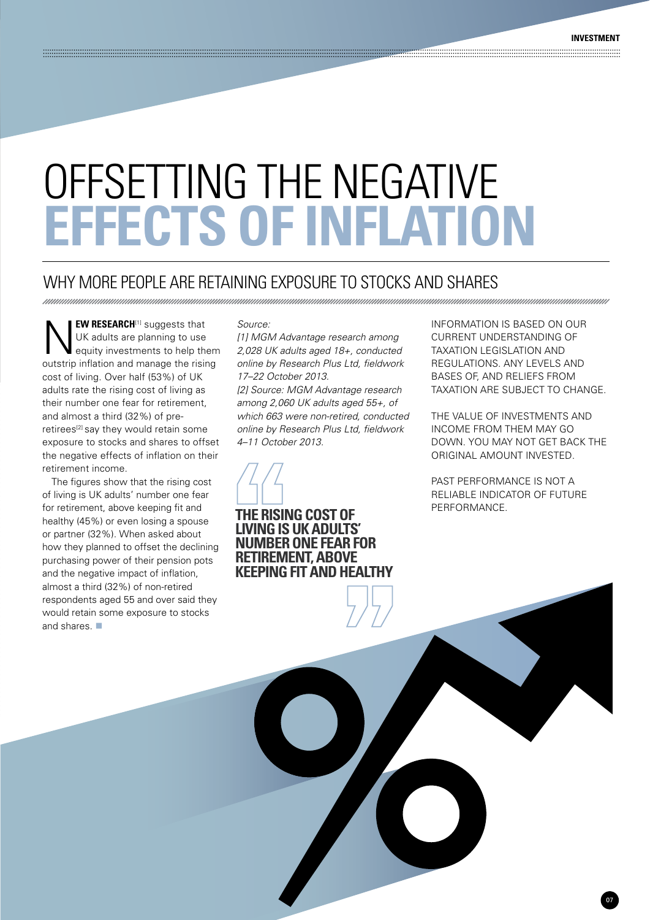# Offsetting the negative **effects of inflation**

## Why more people are retaining exposure to stocks and shares

**NEW RESEARCH**<sup>[1]</sup> suggests that<br>
UK adults are planning to use<br>
equity investments to help them UK adults are planning to use outstrip inflation and manage the rising cost of living. Over half (53%) of UK adults rate the rising cost of living as their number one fear for retirement, and almost a third (32%) of preretirees<sup>[2]</sup> say they would retain some exposure to stocks and shares to offset the negative effects of inflation on their retirement income.

The figures show that the rising cost of living is UK adults' number one fear for retirement, above keeping fit and healthy (45%) or even losing a spouse or partner (32%). When asked about how they planned to offset the declining purchasing power of their pension pots and the negative impact of inflation, almost a third (32%) of non-retired respondents aged 55 and over said they would retain some exposure to stocks and shares.  $\blacksquare$ 

#### *Source:*

*[1] MGM Advantage research among 2,028 UK adults aged 18+, conducted online by Research Plus Ltd, fieldwork 17–22 October 2013.*

*[2] Source: MGM Advantage research among 2,060 UK adults aged 55+, of which 663 were non-retired, conducted online by Research Plus Ltd, fieldwork 4–11 October 2013.*



**THE RISING COST OF livingis UK adults' number one fear for retirement, above keeping fit and healthy** INFORMATION IS BASED ON OUR CURRENT UNDERSTANDING OF TAXATION LEGISLATION AND REGULATIONS. ANY LEVELS AND BASES OF, AND RELIEFS FROM TAXATION ARE SUBJECT TO CHANGE.

THE VALUE OF INVESTMENTS AND INCOME FROM THEM MAY GO DOWN. YOU MAY NOT GET BACK THE ORIGINAL AMOUNT INVESTED.

PAST PERFORMANCE IS NOT A RELIABLE INDICATOR OF FUTURE PERFORMANCE.

07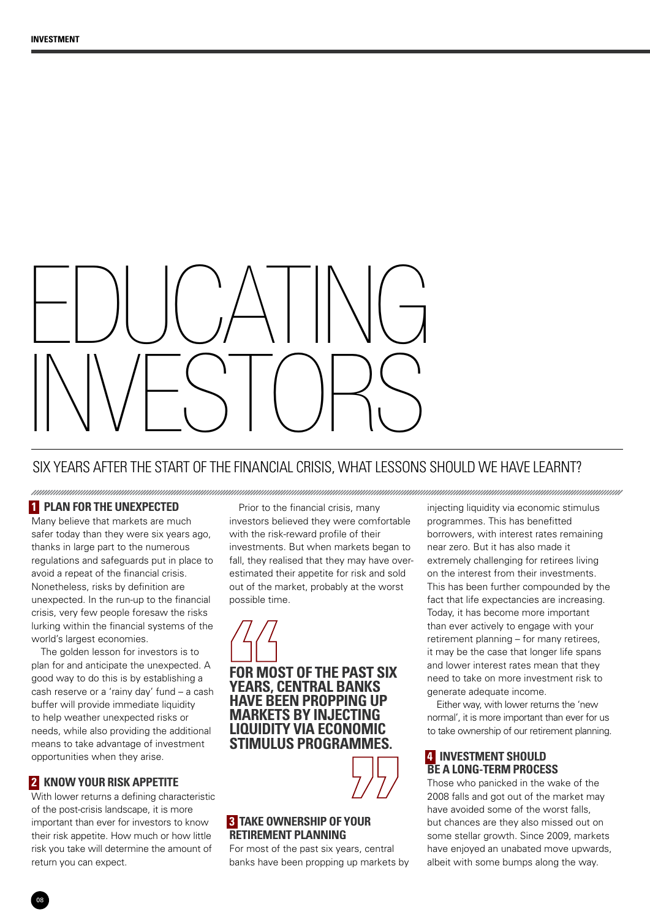# EDUCATING INVESTOR

## Six years after the start of the financial crisis, what lessons should we have learnt?

#### **1 Plan for the unexpected**

Many believe that markets are much safer today than they were six years ago thanks in large part to the numerous regulations and safeguards put in place to avoid a repeat of the financial crisis. Nonetheless, risks by definition are unexpected. In the run-up to the financial crisis, very few people foresaw the risks lurking within the financial systems of the world's largest economies.

The golden lesson for investors is to plan for and anticipate the unexpected. A good way to do this is by establishing a cash reserve or a 'rainy day' fund – a cash buffer will provide immediate liquidity to help weather unexpected risks or needs, while also providing the additional means to take advantage of investment opportunities when they arise.

#### **2 Know your risk appetite**

With lower returns a defining characteristic of the post-crisis landscape, it is more important than ever for investors to know their risk appetite. How much or how little risk you take will determine the amount of return you can expect.

Prior to the financial crisis, many investors believed they were comfortable with the risk-reward profile of their investments. But when markets began to fall, they realised that they may have overestimated their appetite for risk and sold out of the market, probably at the worst possible time.

**For most of the past six years, central banks have been propping up markets by injecting liquidity via economic stimulus programmes.**



#### **3. Take ownership of your retirement planning**

For most of the past six years, central banks have been propping up markets by injecting liquidity via economic stimulus programmes. This has benefitted borrowers, with interest rates remaining near zero. But it has also made it extremely challenging for retirees living on the interest from their investments. This has been further compounded by the fact that life expectancies are increasing. Today, it has become more important than ever actively to engage with your retirement planning – for many retirees, it may be the case that longer life spans and lower interest rates mean that they need to take on more investment risk to generate adequate income.

Either way, with lower returns the 'new normal', it is more important than ever for us to take ownership of our retirement planning.

#### **4 Investment should be a long-term PROCESS**

Those who panicked in the wake of the 2008 falls and got out of the market may have avoided some of the worst falls but chances are they also missed out on some stellar growth. Since 2009, markets have enjoyed an unabated move upwards, albeit with some bumps along the way.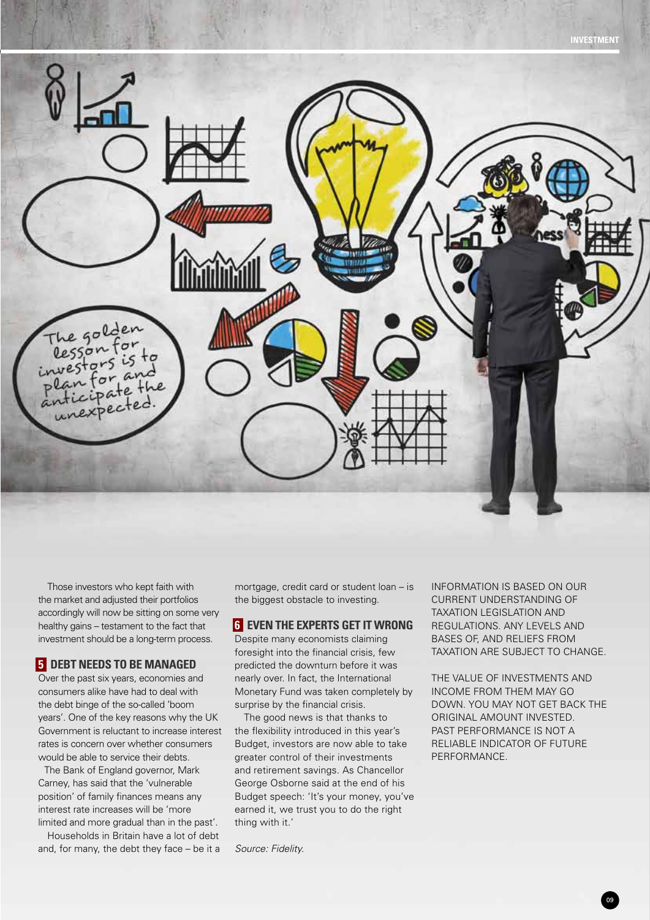

Those investors who kept faith with the market and adjusted their portfolios accordingly will now be sitting on some very healthy gains – testament to the fact that investment should be a long-term process.

#### **5 Debt needs to be managed**

Over the past six years, economies and consumers alike have had to deal with the debt binge of the so-called 'boom years'. One of the key reasons why the UK Government is reluctant to increase interest rates is concern over whether consumers would be able to service their debts.

The Bank of England governor, Mark Carney, has said that the 'vulnerable position' of family finances means any interest rate increases will be 'more limited and more gradual than in the past'.

Households in Britain have a lot of debt and, for many, the debt they face – be it a mortgage, credit card or student loan – is the biggest obstacle to investing.

#### **6 Even the experts get it wrong**

Despite many economists claiming foresight into the financial crisis, few predicted the downturn before it was nearly over. In fact, the International Monetary Fund was taken completely by surprise by the financial crisis.

The good news is that thanks to the flexibility introduced in this year's Budget, investors are now able to take greater control of their investments and retirement savings. As Chancellor George Osborne said at the end of his Budget speech: 'It's your money, you've earned it, we trust you to do the right thing with it.'

*Source: Fidelity.*

INFORMATION IS BASED ON OUR CURRENT UNDERSTANDING OF TAXATION LEGISLATION AND REGULATIONS. ANY LEVELS AND BASES OF, AND RELIEFS FROM TAXATION ARE SUBJECT TO CHANGE.

THE VALUE OF INVESTMENTS AND INCOME FROM THEM MAY GO DOWN. YOU MAY NOT GET BACK THE ORIGINAL AMOUNT INVESTED. PAST PERFORMANCE IS NOT A RELIABLE INDICATOR OF FUTURE PERFORMANCE.

09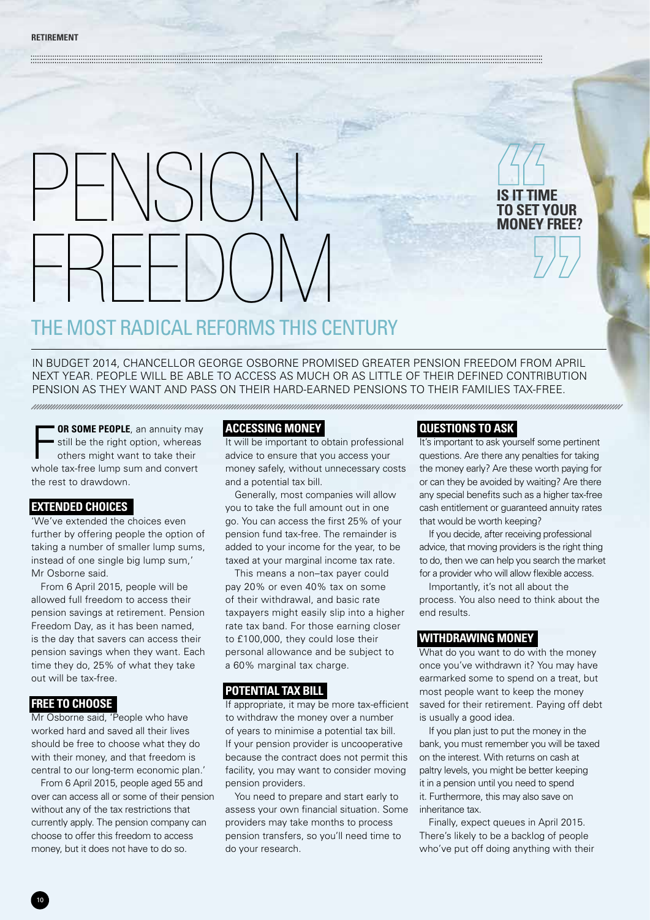# $\int_{0}^{1}$ freedom

The most radical reforms this century

In Budget 2014, Chancellor George Osborne promised greater pension freedom from April next year. People will be able to access as much or as little of their defined contribution pension as they want and pass on their hard-earned pensions to their families tax-free.

F **OR SOME PEOPLE**, an annuity may still be the right option, whereas others might want to take their whole tax-free lump sum and convert the rest to drawdown.

#### **Extended choices**

'We've extended the choices even further by offering people the option of taking a number of smaller lump sums, instead of one single big lump sum,' Mr Osborne said.

From 6 April 2015, people will be allowed full freedom to access their pension savings at retirement. Pension Freedom Day, as it has been named, is the day that savers can access their pension savings when they want. Each time they do, 25% of what they take out will be tax-free.

#### **Free to choose**

Mr Osborne said, 'People who have worked hard and saved all their lives should be free to choose what they do with their money, and that freedom is central to our long-term economic plan.'

From 6 April 2015, people aged 55 and over can access all or some of their pension without any of the tax restrictions that currently apply. The pension company can choose to offer this freedom to access money, but it does not have to do so.

#### **Accessing money**

a series and the contract of the contract of the contract of the contract of the contract of the contract of the

It will be important to obtain professional advice to ensure that you access your money safely, without unnecessary costs and a potential tax bill.

Generally, most companies will allow you to take the full amount out in one go. You can access the first 25% of your pension fund tax-free. The remainder is added to your income for the year, to be taxed at your marginal income tax rate.

This means a non–tax payer could pay 20% or even 40% tax on some of their withdrawal, and basic rate taxpayers might easily slip into a higher rate tax band. For those earning closer to £100,000, they could lose their personal allowance and be subject to a 60% marginal tax charge.

#### **Potential tax bill**

If appropriate, it may be more tax-efficient to withdraw the money over a number of years to minimise a potential tax bill. If your pension provider is uncooperative because the contract does not permit this facility, you may want to consider moving pension providers.

You need to prepare and start early to assess your own financial situation. Some providers may take months to process pension transfers, so you'll need time to do your research.

#### **Questions to ask**

It's important to ask yourself some pertinent questions. Are there any penalties for taking the money early? Are these worth paying for or can they be avoided by waiting? Are there any special benefits such as a higher tax-free cash entitlement or guaranteed annuity rates that would be worth keeping?

**Is it time to set your money free?**

If you decide, after receiving professional advice, that moving providers is the right thing to do, then we can help you search the market for a provider who will allow flexible access.

Importantly, it's not all about the process. You also need to think about the end results.

#### **Withdrawing money**

What do you want to do with the money once you've withdrawn it? You may have earmarked some to spend on a treat, but most people want to keep the money saved for their retirement. Paying off debt is usually a good idea.

If you plan just to put the money in the bank, you must remember you will be taxed on the interest. With returns on cash at paltry levels, you might be better keeping it in a pension until you need to spend it. Furthermore, this may also save on inheritance tax.

Finally, expect queues in April 2015. There's likely to be a backlog of people who've put off doing anything with their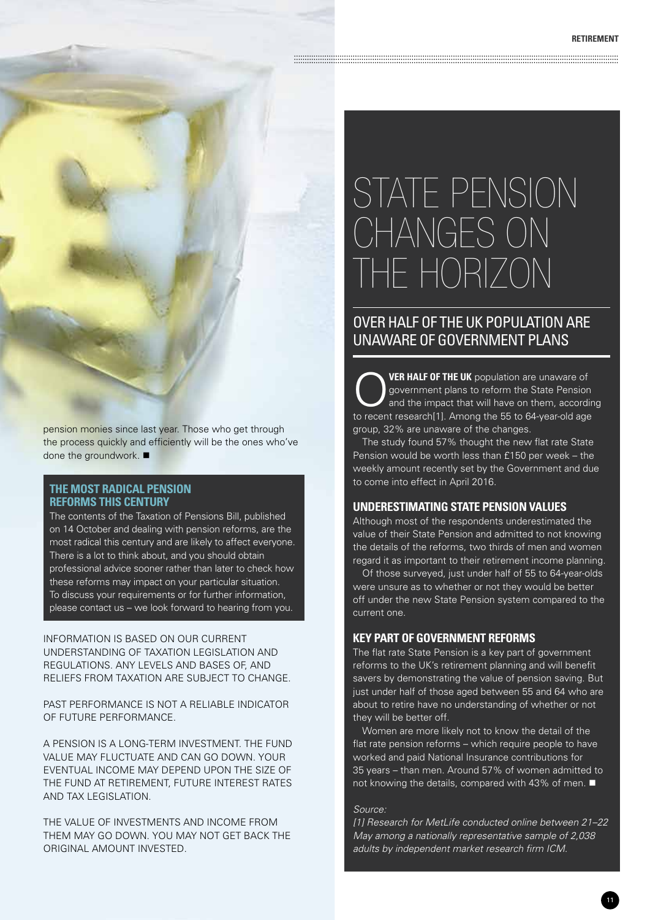## State Pension CHANGES ON the horizon

### Over half of the UK population are unaware of government plans

**VER HALF OF THE UK** population are unaware of government plans to reform the State Pension and the impact that will have on them, according to recent research[1]. Among the 55 to 64-year-old age group, 32% are unaware of the changes.

The study found 57% thought the new flat rate State Pension would be worth less than £150 per week – the weekly amount recently set by the Government and due to come into effect in April 2016.

#### **Underestimating State Pension values**

Although most of the respondents underestimated the value of their State Pension and admitted to not knowing the details of the reforms, two thirds of men and women regard it as important to their retirement income planning.

Of those surveyed, just under half of 55 to 64-year-olds were unsure as to whether or not they would be better off under the new State Pension system compared to the current one.

#### **Key part of government reforms**

The flat rate State Pension is a key part of government reforms to the UK's retirement planning and will benefit savers by demonstrating the value of pension saving. But just under half of those aged between 55 and 64 who are about to retire have no understanding of whether or not they will be better off.

Women are more likely not to know the detail of the flat rate pension reforms – which require people to have worked and paid National Insurance contributions for 35 years – than men. Around 57% of women admitted to not knowing the details, compared with 43% of men.  $\blacksquare$ 

#### *Source:*

*[1] Research for MetLife conducted online between 21–22 May among a nationally representative sample of 2,038 adults by independent market research firm ICM.*

pension monies since last year. Those who get through the process quickly and efficiently will be the ones who've done the groundwork.  $\blacksquare$ 

#### **The most radical pension reforms this century**

The contents of the Taxation of Pensions Bill, published on 14 October and dealing with pension reforms, are the most radical this century and are likely to affect everyone. There is a lot to think about, and you should obtain professional advice sooner rather than later to check how these reforms may impact on your particular situation. To discuss your requirements or for further information, please contact us – we look forward to hearing from you.

#### INFORMATION IS BASED ON OUR CURRENT UNDERSTANDING OF TAXATION LEGISLATION AND REGULATIONS. ANY LEVELS AND BASES OF, AND RELIEFS FROM TAXATION ARE SUBJECT TO CHANGE.

PAST PERFORMANCE IS NOT A RELIABLE INDICATOR OF FUTURE PERFORMANCE.

A PENSION IS A LONG-TERM INVESTMENT. THE FUND VALUE MAY FLUCTUATE AND CAN GO DOWN. YOUR EVENTUAL INCOME MAY DEPEND UPON THE SIZE OF THE FUND AT RETIREMENT, FUTURE INTEREST RATES AND TAX LEGISLATION.

THE VALUE OF INVESTMENTS AND INCOME FROM THEM MAY GO DOWN. YOU MAY NOT GET BACK THE ORIGINAL AMOUNT INVESTED.